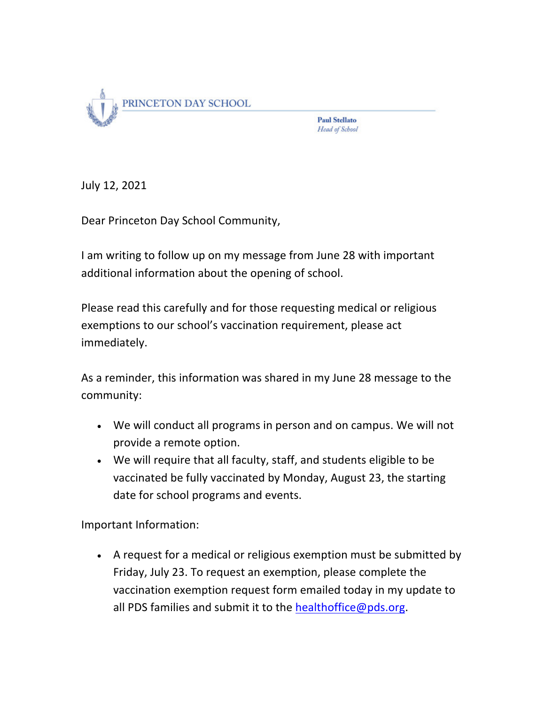

**Paul Stellato** Head of School

July 12, 2021

Dear Princeton Day School Community,

I am writing to follow up on my message from June 28 with important additional information about the opening of school.

Please read this carefully and for those requesting medical or religious exemptions to our school's vaccination requirement, please act immediately.

As a reminder, this information was shared in my June 28 message to the community:

- We will conduct all programs in person and on campus. We will not provide a remote option.
- We will require that all faculty, staff, and students eligible to be vaccinated be fully vaccinated by Monday, August 23, the starting date for school programs and events.

Important Information:

• A request for a medical or religious exemption must be submitted by Friday, July 23. To request an exemption, please complete the vaccination exemption request form emailed today in my update to all PDS families and submit it to the healthoffice@pds.org.